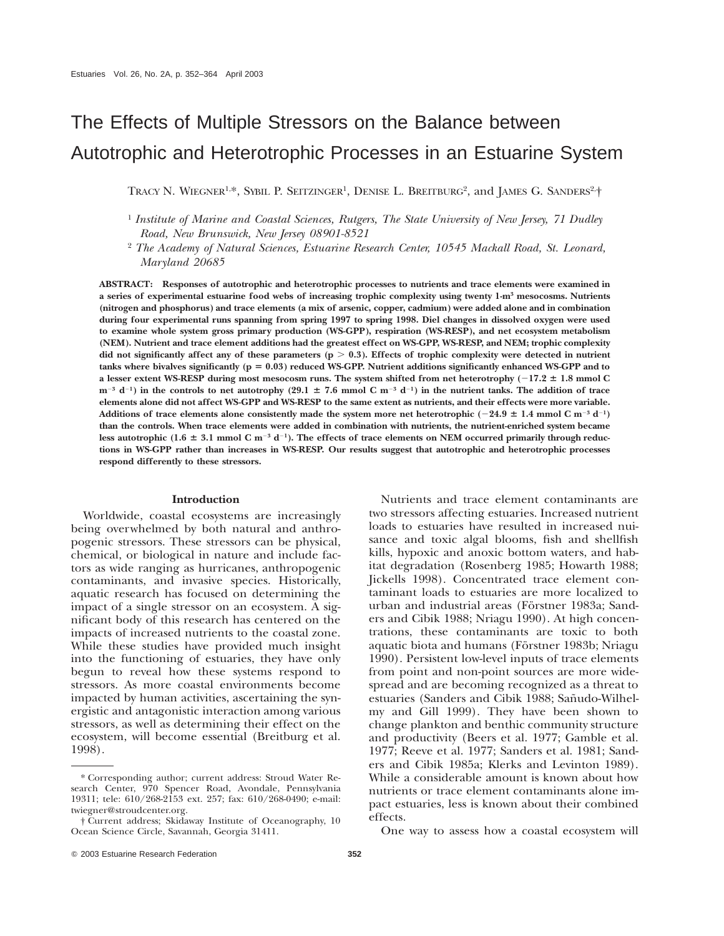# The Effects of Multiple Stressors on the Balance between Autotrophic and Heterotrophic Processes in an Estuarine System

TRACY N. WIEGNER<sup>1,\*</sup>, SYBIL P. SEITZINGER<sup>1</sup>, DENISE L. BREITBURG<sup>2</sup>, and JAMES G. SANDERS<sup>2,+</sup>

<sup>1</sup> *Institute of Marine and Coastal Sciences, Rutgers, The State University of New Jersey, 71 Dudley Road, New Brunswick, New Jersey 08901-8521*

<sup>2</sup> *The Academy of Natural Sciences, Estuarine Research Center, 10545 Mackall Road, St. Leonard, Maryland 20685*

**ABSTRACT: Responses of autotrophic and heterotrophic processes to nutrients and trace elements were examined in a series of experimental estuarine food webs of increasing trophic complexity using twenty 1-m3 mesocosms. Nutrients (nitrogen and phosphorus) and trace elements (a mix of arsenic, copper, cadmium) were added alone and in combination during four experimental runs spanning from spring 1997 to spring 1998. Diel changes in dissolved oxygen were used to examine whole system gross primary production (WS-GPP), respiration (WS-RESP), and net ecosystem metabolism (NEM). Nutrient and trace element additions had the greatest effect on WS-GPP, WS-RESP, and NEM; trophic complexity** did not significantly affect any of these parameters  $(p > 0.3)$ . Effects of trophic complexity were detected in nutrient **tanks where bivalves significantly (p** 5 **0.03) reduced WS-GPP. Nutrient additions significantly enhanced WS-GPP and to a** lesser extent WS-RESP during most mesocosm runs. The system shifted from net heterotrophy  $(-17.2 \pm 1.8 \text{ mmol C})$  $m^{-3}$  **d**<sup>-1</sup>) in the controls to net autotrophy (29.1  $\pm$  7.6 mmol C m<sup>-3</sup> **d**<sup>-1</sup>) in the nutrient tanks. The addition of trace **elements alone did not affect WS-GPP and WS-RESP to the same extent as nutrients, and their effects were more variable.** Additions of trace elements alone consistently made the system more net heterotrophic  $(-24.9 \pm 1.4 \text{ mmol C m}^{-3} \text{ d}^{-1})$ **than the controls. When trace elements were added in combination with nutrients, the nutrient-enriched system became** less autotrophic (1.6  $\pm$  3.1 mmol C m<sup>-3</sup> d<sup>-1</sup>). The effects of trace elements on NEM occurred primarily through reduc**tions in WS-GPP rather than increases in WS-RESP. Our results suggest that autotrophic and heterotrophic processes respond differently to these stressors.**

## **Introduction**

Worldwide, coastal ecosystems are increasingly being overwhelmed by both natural and anthropogenic stressors. These stressors can be physical, chemical, or biological in nature and include factors as wide ranging as hurricanes, anthropogenic contaminants, and invasive species. Historically, aquatic research has focused on determining the impact of a single stressor on an ecosystem. A significant body of this research has centered on the impacts of increased nutrients to the coastal zone. While these studies have provided much insight into the functioning of estuaries, they have only begun to reveal how these systems respond to stressors. As more coastal environments become impacted by human activities, ascertaining the synergistic and antagonistic interaction among various stressors, as well as determining their effect on the ecosystem, will become essential (Breitburg et al. 1998).

Nutrients and trace element contaminants are two stressors affecting estuaries. Increased nutrient loads to estuaries have resulted in increased nuisance and toxic algal blooms, fish and shellfish kills, hypoxic and anoxic bottom waters, and habitat degradation (Rosenberg 1985; Howarth 1988; Jickells 1998). Concentrated trace element contaminant loads to estuaries are more localized to urban and industrial areas (Förstner 1983a; Sanders and Cibik 1988; Nriagu 1990). At high concentrations, these contaminants are toxic to both aquatic biota and humans (Förstner 1983b; Nriagu 1990). Persistent low-level inputs of trace elements from point and non-point sources are more widespread and are becoming recognized as a threat to estuaries (Sanders and Cibik 1988; Sañudo-Wilhelmy and Gill 1999). They have been shown to change plankton and benthic community structure and productivity (Beers et al. 1977; Gamble et al. 1977; Reeve et al. 1977; Sanders et al. 1981; Sanders and Cibik 1985a; Klerks and Levinton 1989). While a considerable amount is known about how nutrients or trace element contaminants alone impact estuaries, less is known about their combined effects.

One way to assess how a coastal ecosystem will

<sup>\*</sup> Corresponding author; current address: Stroud Water Research Center, 970 Spencer Road, Avondale, Pennsylvania 19311; tele: 610/268-2153 ext. 257; fax: 610/268-0490; e-mail: twiegner@stroudcenter.org.

<sup>†</sup> Current address; Skidaway Institute of Oceanography, 10 Ocean Science Circle, Savannah, Georgia 31411.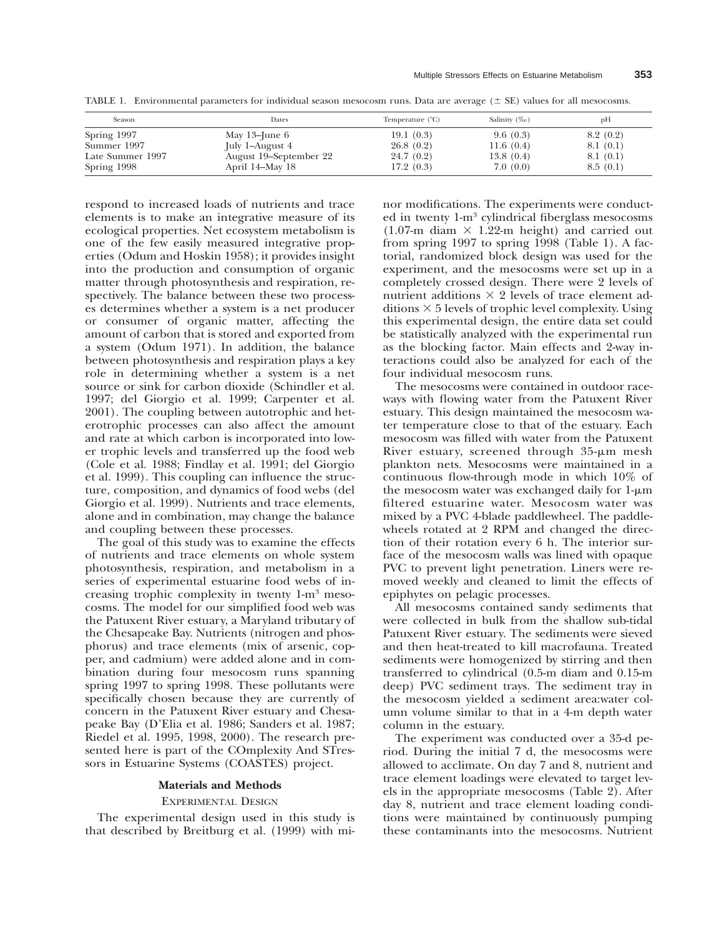TABLE 1. Environmental parameters for individual season mesocosm runs. Data are average  $(\pm \text{ SE})$  values for all mesocosms.

| Season           | Dates                  | Temperature $(^{\circ}C)$ | Salinity $(\%$ o) | pH       |
|------------------|------------------------|---------------------------|-------------------|----------|
| Spring 1997      | May $13$ –June $6$     | 19.1(0.3)                 | 9.6(0.3)          | 8.2(0.2) |
| Summer 1997      | July 1–August 4        | 26.8(0.2)                 | 11.6(0.4)         | 8.1(0.1) |
| Late Summer 1997 | August 19–September 22 | 24.7(0.2)                 | 13.8(0.4)         | 8.1(0.1) |
| Spring 1998      | April 14–May 18        | 17.2(0.3)                 | 7.0(0.0)          | 8.5(0.1) |

respond to increased loads of nutrients and trace elements is to make an integrative measure of its ecological properties. Net ecosystem metabolism is one of the few easily measured integrative properties (Odum and Hoskin 1958); it provides insight into the production and consumption of organic matter through photosynthesis and respiration, respectively. The balance between these two processes determines whether a system is a net producer or consumer of organic matter, affecting the amount of carbon that is stored and exported from a system (Odum 1971). In addition, the balance between photosynthesis and respiration plays a key role in determining whether a system is a net source or sink for carbon dioxide (Schindler et al. 1997; del Giorgio et al. 1999; Carpenter et al. 2001). The coupling between autotrophic and heterotrophic processes can also affect the amount and rate at which carbon is incorporated into lower trophic levels and transferred up the food web (Cole et al. 1988; Findlay et al. 1991; del Giorgio et al. 1999). This coupling can influence the structure, composition, and dynamics of food webs (del Giorgio et al. 1999). Nutrients and trace elements, alone and in combination, may change the balance and coupling between these processes.

The goal of this study was to examine the effects of nutrients and trace elements on whole system photosynthesis, respiration, and metabolism in a series of experimental estuarine food webs of increasing trophic complexity in twenty 1-m3 mesocosms. The model for our simplified food web was the Patuxent River estuary, a Maryland tributary of the Chesapeake Bay. Nutrients (nitrogen and phosphorus) and trace elements (mix of arsenic, copper, and cadmium) were added alone and in combination during four mesocosm runs spanning spring 1997 to spring 1998. These pollutants were specifically chosen because they are currently of concern in the Patuxent River estuary and Chesapeake Bay (D'Elia et al. 1986; Sanders et al. 1987; Riedel et al. 1995, 1998, 2000). The research presented here is part of the COmplexity And STressors in Estuarine Systems (COASTES) project.

#### **Materials and Methods**

#### EXPERIMENTAL DESIGN

The experimental design used in this study is that described by Breitburg et al. (1999) with minor modifications. The experiments were conducted in twenty 1-m3 cylindrical fiberglass mesocosms  $(1.07-m)$  diam  $\times$  1.22-m height) and carried out from spring 1997 to spring 1998 (Table 1). A factorial, randomized block design was used for the experiment, and the mesocosms were set up in a completely crossed design. There were 2 levels of nutrient additions  $\times$  2 levels of trace element additions  $\times$  5 levels of trophic level complexity. Using this experimental design, the entire data set could be statistically analyzed with the experimental run as the blocking factor. Main effects and 2-way interactions could also be analyzed for each of the four individual mesocosm runs.

The mesocosms were contained in outdoor raceways with flowing water from the Patuxent River estuary. This design maintained the mesocosm water temperature close to that of the estuary. Each mesocosm was filled with water from the Patuxent River estuary, screened through  $35-\mu m$  mesh plankton nets. Mesocosms were maintained in a continuous flow-through mode in which 10% of the mesocosm water was exchanged daily for  $1-\mu m$ filtered estuarine water. Mesocosm water was mixed by a PVC 4-blade paddlewheel. The paddlewheels rotated at 2 RPM and changed the direction of their rotation every 6 h. The interior surface of the mesocosm walls was lined with opaque PVC to prevent light penetration. Liners were removed weekly and cleaned to limit the effects of epiphytes on pelagic processes.

All mesocosms contained sandy sediments that were collected in bulk from the shallow sub-tidal Patuxent River estuary. The sediments were sieved and then heat-treated to kill macrofauna. Treated sediments were homogenized by stirring and then transferred to cylindrical (0.5-m diam and 0.15-m deep) PVC sediment trays. The sediment tray in the mesocosm yielded a sediment area:water column volume similar to that in a 4-m depth water column in the estuary.

The experiment was conducted over a 35-d period. During the initial 7 d, the mesocosms were allowed to acclimate. On day 7 and 8, nutrient and trace element loadings were elevated to target levels in the appropriate mesocosms (Table 2). After day 8, nutrient and trace element loading conditions were maintained by continuously pumping these contaminants into the mesocosms. Nutrient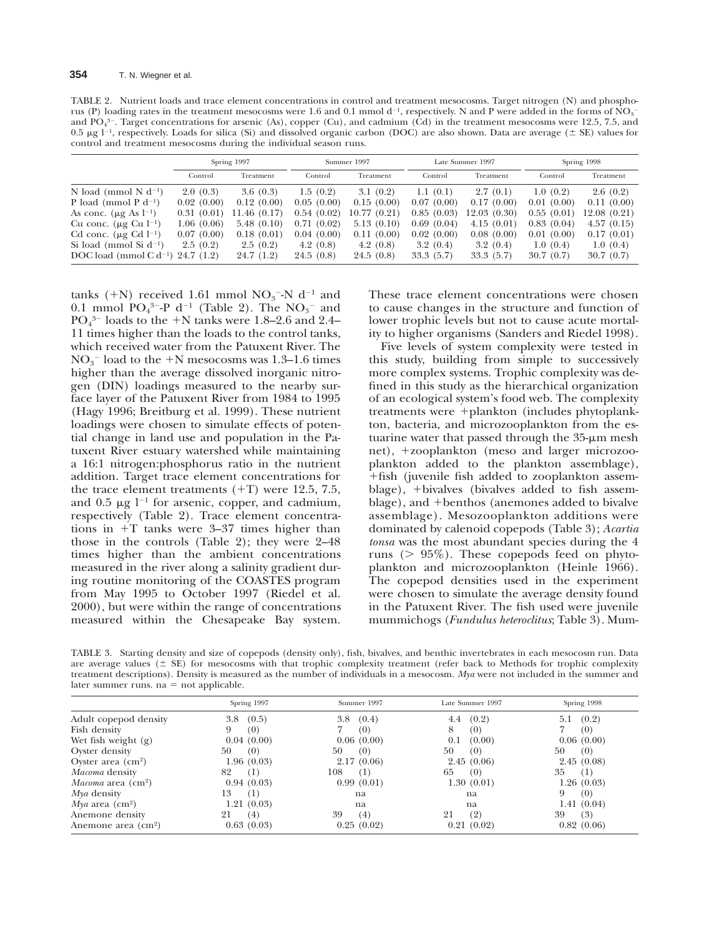TABLE 2. Nutrient loads and trace element concentrations in control and treatment mesocosms. Target nitrogen (N) and phosphorus (P) loading rates in the treatment mesocosms were 1.6 and 0.1 mmol d<sup>-1</sup>, respectively. N and P were added in the forms of NO<sub>3</sub><sup>-</sup> and  $PO<sub>4</sub><sup>3</sup>$ . Target concentrations for arsenic (As), copper (Cu), and cadmium (Cd) in the treatment mesocosms were 12.5, 7.5, and 0.5  $\mu$ g l<sup>-1</sup>, respectively. Loads for silica (Si) and dissolved organic carbon (DOC) are also shown. Data are average ( $\pm$  SE) values for control and treatment mesocosms during the individual season runs.

|                                               | Spring 1997 |             | Summer 1997 |             | Late Summer 1997 |             | Spring 1998 |              |
|-----------------------------------------------|-------------|-------------|-------------|-------------|------------------|-------------|-------------|--------------|
|                                               | Control     | Treatment   | Control     | Treatment   | Control          | Treatment   | Control     | Treatment    |
| N load (mmol N $d^{-1}$ )                     | 2.0(0.3)    | 3.6(0.3)    | 1.5(0.2)    | 3.1(0.2)    | 1.1(0.1)         | 2.7(0.1)    | 1.0(0.2)    | 2.6(0.2)     |
| P load (mmol P $d^{-1}$ )                     | 0.02(0.00)  | 0.12(0.00)  | 0.05(0.00)  | 0.15(0.00)  | 0.07(0.00)       | 0.17(0.00)  | 0.01(0.00)  | 0.11(0.00)   |
| As conc. $(\mu g As 1^{-1})$                  | 0.31(0.01)  | 11.46(0.17) | 0.54(0.02)  | 10.77(0.21) | 0.85(0.03)       | 12.03(0.30) | 0.55(0.01)  | 12.08 (0.21) |
| Cu conc. $(\mu g$ Cu $l^{-1})$                | 1.06(0.06)  | 5.48(0.10)  | 0.71(0.02)  | 5.13(0.10)  | 0.69(0.04)       | 4.15(0.01)  | 0.83(0.04)  | 4.57(0.15)   |
| Cd conc. $(\mu g \text{ Cd } 1^{-1})$         | 0.07(0.00)  | 0.18(0.01)  | 0.04(0.00)  | 0.11(0.00)  | 0.02(0.00)       | 0.08(0.00)  | 0.01(0.00)  | 0.17(0.01)   |
| Si load (mmol Si $d^{-1}$ )                   | 2.5(0.2)    | 2.5(0.2)    | 4.2 $(0.8)$ | 4.2 $(0.8)$ | 3.2(0.4)         | 3.2(0.4)    | 1.0(0.4)    | 1.0(0.4)     |
| DOC load (mmol C d <sup>-1</sup> ) 24.7 (1.2) |             | 24.7 (1.2)  | 24.5(0.8)   | 24.5(0.8)   | 33.3(5.7)        | 33.3(5.7)   | 30.7(0.7)   | 30.7(0.7)    |

tanks  $(+N)$  received 1.61 mmol  $NO<sub>3</sub>^-N$  d<sup>-1</sup> and 0.1 mmol  $PO_4^{3-}P$  d<sup>-1</sup> (Table 2). The  $NO_3^-$  and  $PO<sub>4</sub><sup>3-</sup>$  loads to the +N tanks were 1.8–2.6 and 2.4– 11 times higher than the loads to the control tanks, which received water from the Patuxent River. The  $NO<sub>3</sub><sup>-</sup>$  load to the +N mesocosms was 1.3–1.6 times higher than the average dissolved inorganic nitrogen (DIN) loadings measured to the nearby surface layer of the Patuxent River from 1984 to 1995 (Hagy 1996; Breitburg et al. 1999). These nutrient loadings were chosen to simulate effects of potential change in land use and population in the Patuxent River estuary watershed while maintaining a 16:1 nitrogen:phosphorus ratio in the nutrient addition. Target trace element concentrations for the trace element treatments  $(+T)$  were 12.5, 7.5, and 0.5  $\mu$ g l<sup>-1</sup> for arsenic, copper, and cadmium, respectively (Table 2). Trace element concentrations in  $+T$  tanks were 3–37 times higher than those in the controls (Table 2); they were 2–48 times higher than the ambient concentrations measured in the river along a salinity gradient during routine monitoring of the COASTES program from May 1995 to October 1997 (Riedel et al. 2000), but were within the range of concentrations measured within the Chesapeake Bay system.

These trace element concentrations were chosen to cause changes in the structure and function of lower trophic levels but not to cause acute mortality to higher organisms (Sanders and Riedel 1998).

Five levels of system complexity were tested in this study, building from simple to successively more complex systems. Trophic complexity was defined in this study as the hierarchical organization of an ecological system's food web. The complexity treatments were +plankton (includes phytoplankton, bacteria, and microzooplankton from the estuarine water that passed through the  $35-\mu m$  mesh net), +zooplankton (meso and larger microzooplankton added to the plankton assemblage), 1fish (juvenile fish added to zooplankton assemblage),  $+$ bivalves (bivalves added to fish assemblage), and +benthos (anemones added to bivalve assemblage). Mesozooplankton additions were dominated by calenoid copepods (Table 3); *Acartia tonsa* was the most abundant species during the 4 runs ( $> 95\%$ ). These copepods feed on phytoplankton and microzooplankton (Heinle 1966). The copepod densities used in the experiment were chosen to simulate the average density found in the Patuxent River. The fish used were juvenile mummichogs (*Fundulus heteroclitus*; Table 3). Mum-

TABLE 3. Starting density and size of copepods (density only), fish, bivalves, and benthic invertebrates in each mesocosm run. Data are average values ( $\pm$  SE) for mesocosms with that trophic complexity treatment (refer back to Methods for trophic complexity treatment descriptions). Density is measured as the number of individuals in a mesocosm. *Mya* were not included in the summer and later summer runs.  $na = not applicable.$ 

|                                    | Spring 1997  | Summer 1997  | Late Summer 1997 | Spring 1998  |
|------------------------------------|--------------|--------------|------------------|--------------|
| Adult copepod density              | (0.5)<br>3.8 | 3.8<br>(0.4) | (0.2)<br>4.4     | (0.2)<br>5.1 |
| Fish density                       | (0)<br>9     | (0)          | 8<br>(0)         | (0)          |
| Wet fish weight $(g)$              | 0.04(0.00)   | 0.06(0.00)   | (0.00)<br>0.1    | 0.06(0.00)   |
| Oyster density                     | 50<br>(0)    | 50<br>(0)    | 50<br>(0)        | 50<br>(0)    |
| Oyster area $\rm (cm^2)$           | 1.96(0.03)   | 2.17(0.06)   | 2.45(0.06)       | 2.45(0.08)   |
| <i>Macoma</i> density              | 82<br>(1)    | 108<br>(1)   | 65<br>(0)        | 35<br>(1)    |
| <i>Macoma</i> area $\text{(cm)}^2$ | 0.94(0.03)   | 0.99(0.01)   | 1.30(0.01)       | 1.26(0.03)   |
| $Mya$ density                      | 13<br>(1)    | na           | na               | (0)<br>9     |
| $Mya$ area (cm <sup>2</sup> )      | 1.21(0.03)   | na           | na               | 1.41(0.04)   |
| Anemone density                    | 21<br>(4)    | 39<br>(4)    | 21<br>(2)        | 39<br>(3)    |
| Anemone area (cm <sup>2</sup> )    | 0.63(0.03)   | 0.25(0.02)   | 0.21(0.02)       | 0.82(0.06)   |
|                                    |              |              |                  |              |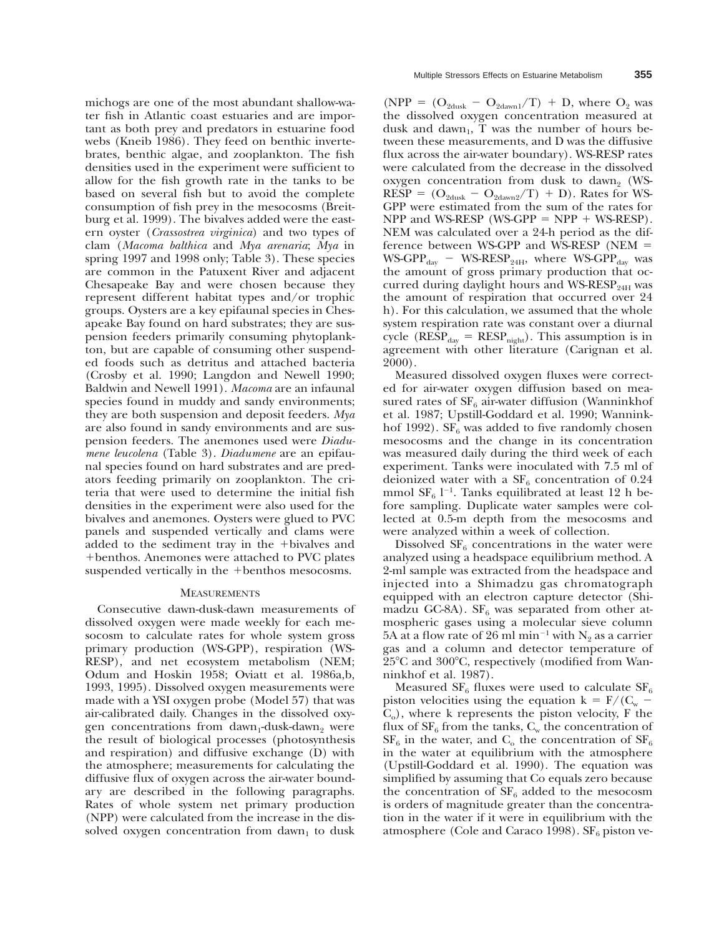michogs are one of the most abundant shallow-water fish in Atlantic coast estuaries and are important as both prey and predators in estuarine food webs (Kneib 1986). They feed on benthic invertebrates, benthic algae, and zooplankton. The fish densities used in the experiment were sufficient to allow for the fish growth rate in the tanks to be based on several fish but to avoid the complete consumption of fish prey in the mesocosms (Breitburg et al. 1999). The bivalves added were the eastern oyster (*Crassostrea virginica*) and two types of clam (*Macoma balthica* and *Mya arenaria*; *Mya* in spring 1997 and 1998 only; Table 3). These species are common in the Patuxent River and adjacent Chesapeake Bay and were chosen because they represent different habitat types and/or trophic groups. Oysters are a key epifaunal species in Chesapeake Bay found on hard substrates; they are suspension feeders primarily consuming phytoplankton, but are capable of consuming other suspended foods such as detritus and attached bacteria (Crosby et al. 1990; Langdon and Newell 1990; Baldwin and Newell 1991). *Macoma* are an infaunal species found in muddy and sandy environments; they are both suspension and deposit feeders. *Mya* are also found in sandy environments and are suspension feeders. The anemones used were *Diadumene leucolena* (Table 3). *Diadumene* are an epifaunal species found on hard substrates and are predators feeding primarily on zooplankton. The criteria that were used to determine the initial fish densities in the experiment were also used for the bivalves and anemones. Oysters were glued to PVC panels and suspended vertically and clams were added to the sediment tray in the +bivalves and 1benthos. Anemones were attached to PVC plates suspended vertically in the +benthos mesocosms.

### **MEASUREMENTS**

Consecutive dawn-dusk-dawn measurements of dissolved oxygen were made weekly for each mesocosm to calculate rates for whole system gross primary production (WS-GPP), respiration (WS-RESP), and net ecosystem metabolism (NEM; Odum and Hoskin 1958; Oviatt et al. 1986a,b, 1993, 1995). Dissolved oxygen measurements were made with a YSI oxygen probe (Model 57) that was air-calibrated daily. Changes in the dissolved oxygen concentrations from dawn<sub>1</sub>-dusk-dawn<sub>2</sub> were the result of biological processes (photosynthesis and respiration) and diffusive exchange (D) with the atmosphere; measurements for calculating the diffusive flux of oxygen across the air-water boundary are described in the following paragraphs. Rates of whole system net primary production (NPP) were calculated from the increase in the dissolved oxygen concentration from dawn<sub>1</sub> to dusk

(NPP =  $(O_{2dusk} - O_{2dawn1}/T) + D$ , where  $O_2$  was the dissolved oxygen concentration measured at dusk and dawn<sub>1</sub>, T was the number of hours between these measurements, and D was the diffusive flux across the air-water boundary). WS-RESP rates were calculated from the decrease in the dissolved oxygen concentration from dusk to dawn<sub>2</sub> (WS- $RESP = (O_{2dusk} - O_{2dawn2}/T) + D)$ . Rates for WS-GPP were estimated from the sum of the rates for NPP and WS-RESP (WS-GPP  $=$  NPP  $+$  WS-RESP). NEM was calculated over a 24-h period as the difference between WS-GPP and WS-RESP (NEM  $=$  $WS-GPP_{day}$  –  $WS-RESP_{24H}$ , where  $WS-GPP_{day}$  was the amount of gross primary production that occurred during daylight hours and WS-RESP $_{24H}$  was the amount of respiration that occurred over 24 h). For this calculation, we assumed that the whole system respiration rate was constant over a diurnal cycle ( $RESP_{day} = RESP_{night}$ ). This assumption is in agreement with other literature (Carignan et al. 2000).

Measured dissolved oxygen fluxes were corrected for air-water oxygen diffusion based on measured rates of  $SF<sub>6</sub>$  air-water diffusion (Wanninkhof et al. 1987; Upstill-Goddard et al. 1990; Wanninkhof 1992).  $SF_6$  was added to five randomly chosen mesocosms and the change in its concentration was measured daily during the third week of each experiment. Tanks were inoculated with 7.5 ml of deionized water with a  $SF_6$  concentration of 0.24 mmol  $SF_6$  l<sup>-1</sup>. Tanks equilibrated at least 12 h before sampling. Duplicate water samples were collected at 0.5-m depth from the mesocosms and were analyzed within a week of collection.

Dissolved  $SF<sub>6</sub>$  concentrations in the water were analyzed using a headspace equilibrium method. A 2-ml sample was extracted from the headspace and injected into a Shimadzu gas chromatograph equipped with an electron capture detector (Shimadzu GC-8A).  $SF_6$  was separated from other atmospheric gases using a molecular sieve column 5A at a flow rate of 26 ml min<sup>-1</sup> with N<sub>2</sub> as a carrier gas and a column and detector temperature of 25°C and 300°C, respectively (modified from Wanninkhof et al. 1987).

Measured  $SF_6$  fluxes were used to calculate  $SF_6$ piston velocities using the equation  $k = F/(C_w$ .  $C<sub>o</sub>$ ), where k represents the piston velocity, F the flux of  $SF_6$  from the tanks,  $C_w$  the concentration of  $SF_6$  in the water, and  $C_6$  the concentration of  $SF_6$ in the water at equilibrium with the atmosphere (Upstill-Goddard et al. 1990). The equation was simplified by assuming that Co equals zero because the concentration of  $SF_6$  added to the mesocosm is orders of magnitude greater than the concentration in the water if it were in equilibrium with the atmosphere (Cole and Caraco 1998).  $SF_6$  piston ve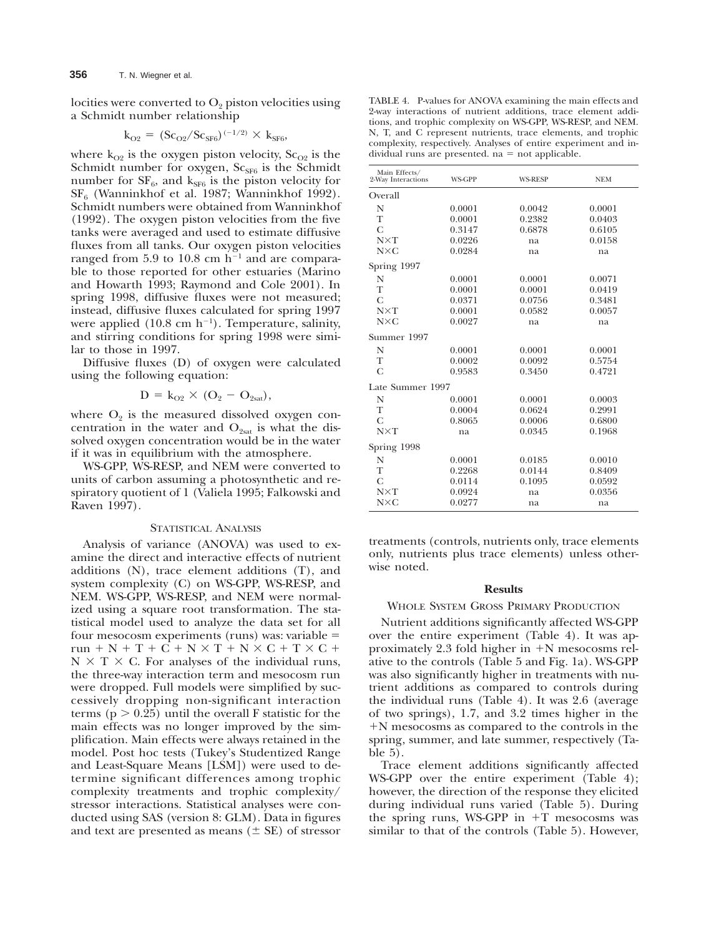locities were converted to  $O_2$  piston velocities using a Schmidt number relationship

$$
k_{O2} = (Sc_{O2}/Sc_{SF6})^{(-1/2)} \times k_{SF6},
$$

where  $k_{O2}$  is the oxygen piston velocity,  $Sc_{O2}$  is the Schmidt number for oxygen,  $Sc_{SF6}$  is the Schmidt number for  $SF_6$ , and  $k_{SF6}$  is the piston velocity for  $SF<sub>6</sub>$  (Wanninkhof et al. 1987; Wanninkhof 1992). Schmidt numbers were obtained from Wanninkhof (1992). The oxygen piston velocities from the five tanks were averaged and used to estimate diffusive fluxes from all tanks. Our oxygen piston velocities ranged from 5.9 to 10.8 cm  $h^{-1}$  and are comparable to those reported for other estuaries (Marino and Howarth 1993; Raymond and Cole 2001). In spring 1998, diffusive fluxes were not measured; instead, diffusive fluxes calculated for spring 1997 were applied  $(10.8 \text{ cm h}^{-1})$ . Temperature, salinity, and stirring conditions for spring 1998 were similar to those in 1997.

Diffusive fluxes (D) of oxygen were calculated using the following equation:

$$
D = k_{O2} \times (O_2 - O_{2sat}),
$$

where  $O_2$  is the measured dissolved oxygen concentration in the water and  $O_{2sat}$  is what the dissolved oxygen concentration would be in the water if it was in equilibrium with the atmosphere.

WS-GPP, WS-RESP, and NEM were converted to units of carbon assuming a photosynthetic and respiratory quotient of 1 (Valiela 1995; Falkowski and Raven 1997).

# STATISTICAL ANALYSIS

Analysis of variance (ANOVA) was used to examine the direct and interactive effects of nutrient additions (N), trace element additions (T), and system complexity (C) on WS-GPP, WS-RESP, and NEM. WS-GPP, WS-RESP, and NEM were normalized using a square root transformation. The statistical model used to analyze the data set for all four mesocosm experiments (runs) was: variable  $=$  $run + N + T + C + N \times T + N \times C + T \times C +$  $N \times T \times C$ . For analyses of the individual runs, the three-way interaction term and mesocosm run were dropped. Full models were simplified by successively dropping non-significant interaction terms ( $p > 0.25$ ) until the overall F statistic for the main effects was no longer improved by the simplification. Main effects were always retained in the model. Post hoc tests (Tukey's Studentized Range and Least-Square Means [LSM]) were used to determine significant differences among trophic complexity treatments and trophic complexity/ stressor interactions. Statistical analyses were conducted using SAS (version 8: GLM). Data in figures and text are presented as means  $(\pm \text{ SE})$  of stressor

TABLE 4. P-values for ANOVA examining the main effects and 2-way interactions of nutrient additions, trace element additions, and trophic complexity on WS-GPP, WS-RESP, and NEM. N, T, and C represent nutrients, trace elements, and trophic complexity, respectively. Analyses of entire experiment and in $dividual$  runs are presented.  $na = not$  applicable.

| Main Effects/<br>2-Way Interactions | WS-GPP | <b>WS-RESP</b> | <b>NEM</b> |
|-------------------------------------|--------|----------------|------------|
| Overall                             |        |                |            |
| N                                   | 0.0001 | 0.0042         | 0.0001     |
| T                                   | 0.0001 | 0.2382         | 0.0403     |
| C                                   | 0.3147 | 0.6878         | 0.6105     |
| $N\times T$                         | 0.0226 | na             | 0.0158     |
| $N\times C$                         | 0.0284 | na             | na         |
| Spring 1997                         |        |                |            |
| N                                   | 0.0001 | 0.0001         | 0.0071     |
| T                                   | 0.0001 | 0.0001         | 0.0419     |
| C                                   | 0.0371 | 0.0756         | 0.3481     |
| $N\times T$                         | 0.0001 | 0.0582         | 0.0057     |
| $N\times C$                         | 0.0027 | na             | na         |
| Summer 1997                         |        |                |            |
| N                                   | 0.0001 | 0.0001         | 0.0001     |
| T                                   | 0.0002 | 0.0092         | 0.5754     |
| $\overline{C}$                      | 0.9583 | 0.3450         | 0.4721     |
| Late Summer 1997                    |        |                |            |
| N                                   | 0.0001 | 0.0001         | 0.0003     |
| T                                   | 0.0004 | 0.0624         | 0.2991     |
| C                                   | 0.8065 | 0.0006         | 0.6800     |
| $N\times T$                         | na     | 0.0345         | 0.1968     |
| Spring 1998                         |        |                |            |
| N                                   | 0.0001 | 0.0185         | 0.0010     |
| T                                   | 0.2268 | 0.0144         | 0.8409     |
| C                                   | 0.0114 | 0.1095         | 0.0592     |
| $N\times T$                         | 0.0924 | na             | 0.0356     |
| $N\times C$                         | 0.0277 | na             | na         |

treatments (controls, nutrients only, trace elements only, nutrients plus trace elements) unless otherwise noted.

#### **Results**

# WHOLE SYSTEM GROSS PRIMARY PRODUCTION

Nutrient additions significantly affected WS-GPP over the entire experiment (Table 4). It was approximately 2.3 fold higher in  $+N$  mesocosms relative to the controls (Table 5 and Fig. 1a). WS-GPP was also significantly higher in treatments with nutrient additions as compared to controls during the individual runs (Table 4). It was 2.6 (average of two springs), 1.7, and 3.2 times higher in the 1N mesocosms as compared to the controls in the spring, summer, and late summer, respectively (Table 5).

Trace element additions significantly affected WS-GPP over the entire experiment (Table 4); however, the direction of the response they elicited during individual runs varied (Table 5). During the spring runs, WS-GPP in  $+T$  mesocosms was similar to that of the controls (Table 5). However,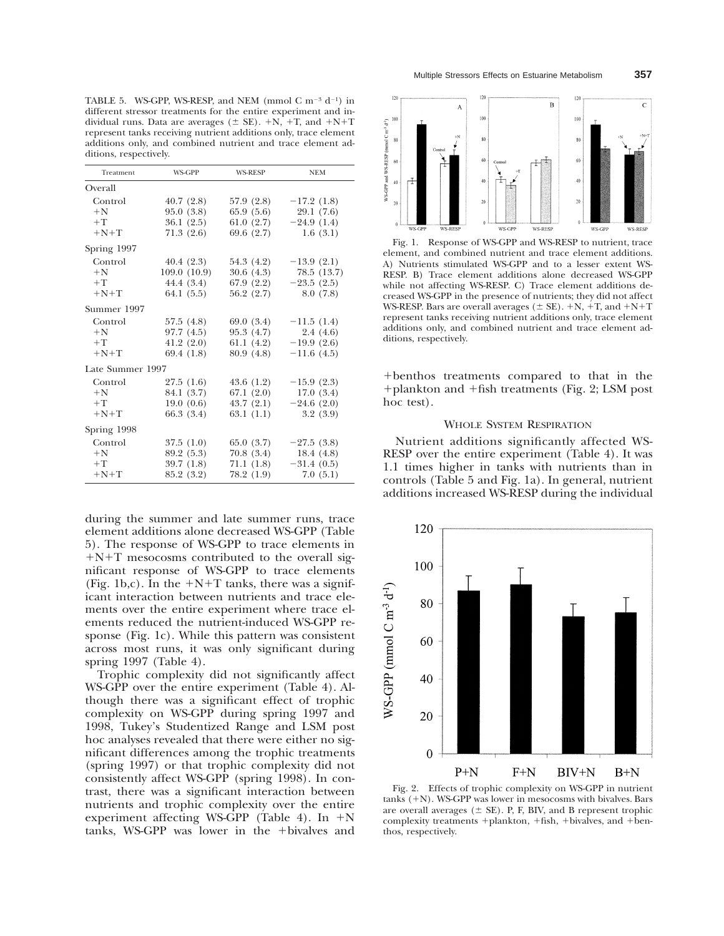TABLE 5. WS-GPP, WS-RESP, and NEM (mmol C m<sup>-3</sup> d<sup>-1</sup>) in different stressor treatments for the entire experiment and individual runs. Data are averages ( $\pm$  SE).  $+N$ ,  $+T$ , and  $+N+T$ represent tanks receiving nutrient additions only, trace element additions only, and combined nutrient and trace element additions, respectively.

| Treatment        | <b>WS-GPP</b> | <b>WS-RESP</b> | <b>NEM</b>   |  |  |
|------------------|---------------|----------------|--------------|--|--|
| Overall          |               |                |              |  |  |
| Control          | 40.7(2.8)     | 57.9 (2.8)     | $-17.2(1.8)$ |  |  |
| $+N$             | 95.0(3.8)     | 65.9(5.6)      | 29.1 (7.6)   |  |  |
| $+T$             | 36.1(2.5)     | 61.0(2.7)      | $-24.9(1.4)$ |  |  |
| $+N+T$           | 71.3(2.6)     | 69.6 (2.7)     | 1.6(3.1)     |  |  |
| Spring 1997      |               |                |              |  |  |
| Control          | 40.4(2.3)     | 54.3 (4.2)     | $-13.9(2.1)$ |  |  |
| $+N$             | 109.0(10.9)   | 30.6(4.3)      | 78.5 (13.7)  |  |  |
| $+T$             | 44.4 (3.4)    | 67.9 (2.2)     | $-23.5(2.5)$ |  |  |
| $+N+T$           | 64.1 $(5.5)$  | 56.2 (2.7)     | 8.0(7.8)     |  |  |
| Summer 1997      |               |                |              |  |  |
| Control          | 57.5(4.8)     | 69.0 (3.4)     | $-11.5(1.4)$ |  |  |
| $+N$             | 97.7(4.5)     | 95.3(4.7)      | 2.4(4.6)     |  |  |
| $+T$             | 41.2(2.0)     | 61.1 $(4.2)$   | $-19.9(2.6)$ |  |  |
| $+N+T$           | 69.4 (1.8)    | 80.9 (4.8)     | $-11.6(4.5)$ |  |  |
| Late Summer 1997 |               |                |              |  |  |
| Control          | 27.5(1.6)     | 43.6 (1.2)     | $-15.9(2.3)$ |  |  |
| $+N$             | 84.1 (3.7)    | 67.1(2.0)      | 17.0(3.4)    |  |  |
| $+T$             | 19.0(0.6)     | 43.7(2.1)      | $-24.6(2.0)$ |  |  |
| $+N+T$           | 66.3(3.4)     | 63.1(1.1)      | 3.2(3.9)     |  |  |
| Spring 1998      |               |                |              |  |  |
| Control          | 37.5(1.0)     | 65.0(3.7)      | $-27.5(3.8)$ |  |  |
| $+N$             | 89.2 (5.3)    | 70.8(3.4)      | 18.4(4.8)    |  |  |
| $+T$             | 39.7(1.8)     | 71.1(1.8)      | $-31.4(0.5)$ |  |  |
| $+N+T$           | 85.2 (3.2)    | 78.2 (1.9)     | 7.0(5.1)     |  |  |

during the summer and late summer runs, trace element additions alone decreased WS-GPP (Table 5). The response of WS-GPP to trace elements in  $+N+T$  mesocosms contributed to the overall significant response of WS-GPP to trace elements (Fig. 1b,c). In the  $+N+T$  tanks, there was a significant interaction between nutrients and trace elements over the entire experiment where trace elements reduced the nutrient-induced WS-GPP response (Fig. 1c). While this pattern was consistent across most runs, it was only significant during spring 1997 (Table 4).

Trophic complexity did not significantly affect WS-GPP over the entire experiment (Table 4). Although there was a significant effect of trophic complexity on WS-GPP during spring 1997 and 1998, Tukey's Studentized Range and LSM post hoc analyses revealed that there were either no significant differences among the trophic treatments (spring 1997) or that trophic complexity did not consistently affect WS-GPP (spring 1998). In contrast, there was a significant interaction between nutrients and trophic complexity over the entire experiment affecting WS-GPP (Table 4). In  $+N$ tanks, WS-GPP was lower in the +bivalves and



Fig. 1. Response of WS-GPP and WS-RESP to nutrient, trace element, and combined nutrient and trace element additions. A) Nutrients stimulated WS-GPP and to a lesser extent WS-RESP. B) Trace element additions alone decreased WS-GPP while not affecting WS-RESP. C) Trace element additions decreased WS-GPP in the presence of nutrients; they did not affect WS-RESP. Bars are overall averages ( $\pm$  SE). +N, +T, and +N+T represent tanks receiving nutrient additions only, trace element additions only, and combined nutrient and trace element additions, respectively.

1benthos treatments compared to that in the  $+$ plankton and  $+$ fish treatments (Fig. 2; LSM post hoc test).

## WHOLE SYSTEM RESPIRATION

Nutrient additions significantly affected WS-RESP over the entire experiment (Table 4). It was 1.1 times higher in tanks with nutrients than in controls (Table 5 and Fig. 1a). In general, nutrient additions increased WS-RESP during the individual



Fig. 2. Effects of trophic complexity on WS-GPP in nutrient  $tanks$  (+N). WS-GPP was lower in mesocosms with bivalves. Bars are overall averages  $(\pm$  SE). P, F, BIV, and B represent trophic complexity treatments  $+$ plankton,  $+$ fish,  $+$ bivalves, and  $+$ benthos, respectively.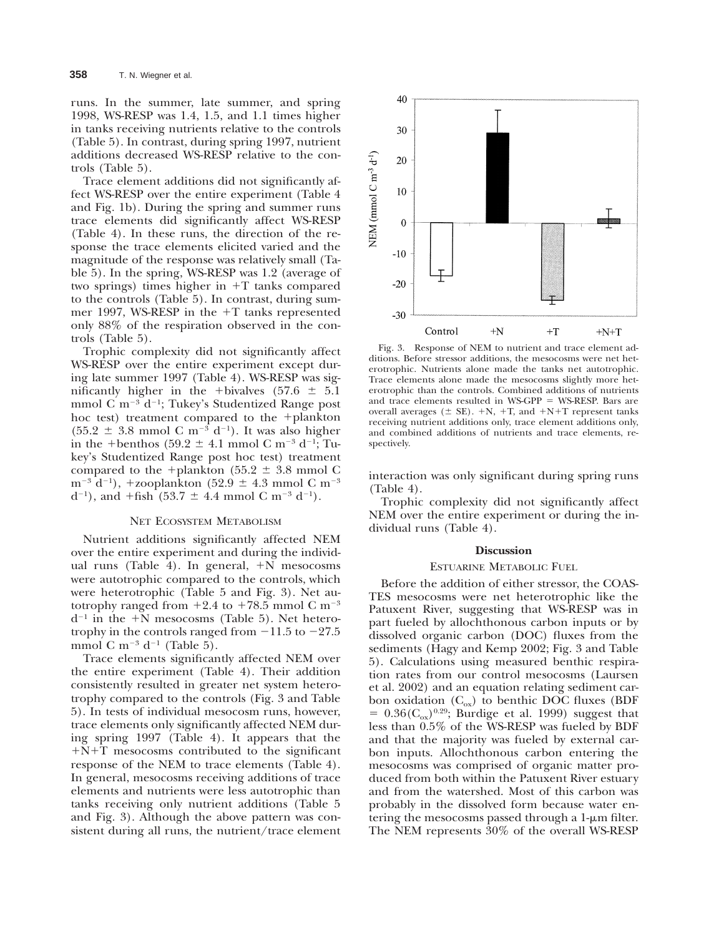runs. In the summer, late summer, and spring 1998, WS-RESP was 1.4, 1.5, and 1.1 times higher in tanks receiving nutrients relative to the controls (Table 5). In contrast, during spring 1997, nutrient additions decreased WS-RESP relative to the controls (Table 5).

Trace element additions did not significantly affect WS-RESP over the entire experiment (Table 4 and Fig. 1b). During the spring and summer runs trace elements did significantly affect WS-RESP (Table 4). In these runs, the direction of the response the trace elements elicited varied and the magnitude of the response was relatively small (Table 5). In the spring, WS-RESP was 1.2 (average of two springs) times higher in  $+T$  tanks compared to the controls (Table 5). In contrast, during summer 1997, WS-RESP in the  $+T$  tanks represented only 88% of the respiration observed in the controls (Table 5).

Trophic complexity did not significantly affect WS-RESP over the entire experiment except during late summer 1997 (Table 4). WS-RESP was significantly higher in the +bivalves (57.6  $\pm$  5.1 mmol C m<sup>-3</sup> d<sup>-1</sup>; Tukey's Studentized Range post hoc test) treatment compared to the  $+$ plankton  $(55.2 \pm 3.8 \text{ mmol C m}^{-3} \text{ d}^{-1})$ . It was also higher in the +benthos (59.2  $\pm$  4.1 mmol C m<sup>-3</sup> d<sup>-1</sup>; Tukey's Studentized Range post hoc test) treatment compared to the +plankton (55.2  $\pm$  3.8 mmol C  $m^{-3}$  d<sup>-1</sup>), +zooplankton (52.9  $\pm$  4.3 mmol C m<sup>-3</sup>  $d^{-1}$ ), and +fish (53.7  $\pm$  4.4 mmol C m<sup>-3</sup> d<sup>-1</sup>).

## NET ECOSYSTEM METABOLISM

Nutrient additions significantly affected NEM over the entire experiment and during the individual runs (Table 4). In general,  $+N$  mesocosms were autotrophic compared to the controls, which were heterotrophic (Table 5 and Fig. 3). Net autotrophy ranged from  $+2.4$  to  $+78.5$  mmol C m<sup>-3</sup>  $d^{-1}$  in the +N mesocosms (Table 5). Net heterotrophy in the controls ranged from  $-11.5$  to  $-27.5$ mmol C m<sup>-3</sup> d<sup>-1</sup> (Table 5).

Trace elements significantly affected NEM over the entire experiment (Table 4). Their addition consistently resulted in greater net system heterotrophy compared to the controls (Fig. 3 and Table 5). In tests of individual mesocosm runs, however, trace elements only significantly affected NEM during spring 1997 (Table 4). It appears that the  $+N+T$  mesocosms contributed to the significant response of the NEM to trace elements (Table 4). In general, mesocosms receiving additions of trace elements and nutrients were less autotrophic than tanks receiving only nutrient additions (Table 5 and Fig. 3). Although the above pattern was consistent during all runs, the nutrient/trace element



Fig. 3. Response of NEM to nutrient and trace element additions. Before stressor additions, the mesocosms were net heterotrophic. Nutrients alone made the tanks net autotrophic. Trace elements alone made the mesocosms slightly more heterotrophic than the controls. Combined additions of nutrients and trace elements resulted in  $WS-GPP = WS-RESP$ . Bars are overall averages ( $\pm$  SE). +N, +T, and +N+T represent tanks receiving nutrient additions only, trace element additions only, and combined additions of nutrients and trace elements, respectively.

interaction was only significant during spring runs (Table 4).

Trophic complexity did not significantly affect NEM over the entire experiment or during the individual runs (Table 4).

#### **Discussion**

#### ESTUARINE METABOLIC FUEL

Before the addition of either stressor, the COAS-TES mesocosms were net heterotrophic like the Patuxent River, suggesting that WS-RESP was in part fueled by allochthonous carbon inputs or by dissolved organic carbon (DOC) fluxes from the sediments (Hagy and Kemp 2002; Fig. 3 and Table 5). Calculations using measured benthic respiration rates from our control mesocosms (Laursen et al. 2002) and an equation relating sediment carbon oxidation  $(C_{ox})$  to benthic DOC fluxes (BDF  $= 0.36(C_{\text{ox}})^{0.29}$ ; Burdige et al. 1999) suggest that less than 0.5% of the WS-RESP was fueled by BDF and that the majority was fueled by external carbon inputs. Allochthonous carbon entering the mesocosms was comprised of organic matter produced from both within the Patuxent River estuary and from the watershed. Most of this carbon was probably in the dissolved form because water entering the mesocosms passed through a  $1-\mu m$  filter. The NEM represents 30% of the overall WS-RESP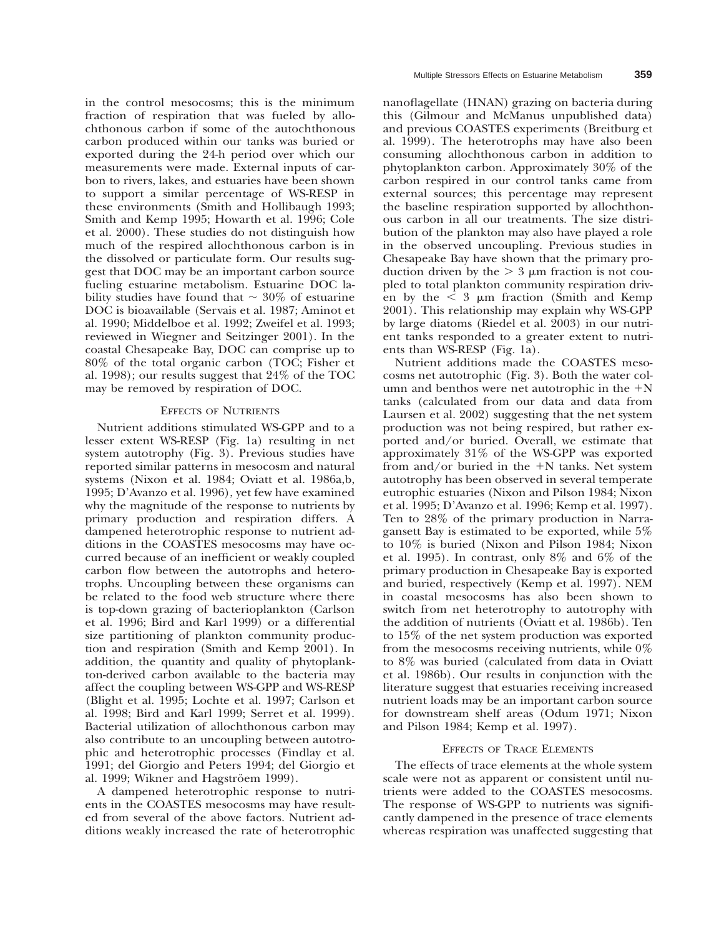in the control mesocosms; this is the minimum fraction of respiration that was fueled by allochthonous carbon if some of the autochthonous carbon produced within our tanks was buried or exported during the 24-h period over which our measurements were made. External inputs of carbon to rivers, lakes, and estuaries have been shown to support a similar percentage of WS-RESP in these environments (Smith and Hollibaugh 1993; Smith and Kemp 1995; Howarth et al. 1996; Cole et al. 2000). These studies do not distinguish how much of the respired allochthonous carbon is in the dissolved or particulate form. Our results suggest that DOC may be an important carbon source fueling estuarine metabolism. Estuarine DOC lability studies have found that  $\sim$  30% of estuarine DOC is bioavailable (Servais et al. 1987; Aminot et al. 1990; Middelboe et al. 1992; Zweifel et al. 1993; reviewed in Wiegner and Seitzinger 2001). In the coastal Chesapeake Bay, DOC can comprise up to 80% of the total organic carbon (TOC; Fisher et al. 1998); our results suggest that 24% of the TOC may be removed by respiration of DOC.

## EFFECTS OF NUTRIENTS

Nutrient additions stimulated WS-GPP and to a lesser extent WS-RESP (Fig. 1a) resulting in net system autotrophy (Fig. 3). Previous studies have reported similar patterns in mesocosm and natural systems (Nixon et al. 1984; Oviatt et al. 1986a,b, 1995; D'Avanzo et al. 1996), yet few have examined why the magnitude of the response to nutrients by primary production and respiration differs. A dampened heterotrophic response to nutrient additions in the COASTES mesocosms may have occurred because of an inefficient or weakly coupled carbon flow between the autotrophs and heterotrophs. Uncoupling between these organisms can be related to the food web structure where there is top-down grazing of bacterioplankton (Carlson et al. 1996; Bird and Karl 1999) or a differential size partitioning of plankton community production and respiration (Smith and Kemp 2001). In addition, the quantity and quality of phytoplankton-derived carbon available to the bacteria may affect the coupling between WS-GPP and WS-RESP (Blight et al. 1995; Lochte et al. 1997; Carlson et al. 1998; Bird and Karl 1999; Serret et al. 1999). Bacterial utilization of allochthonous carbon may also contribute to an uncoupling between autotrophic and heterotrophic processes (Findlay et al. 1991; del Giorgio and Peters 1994; del Giorgio et al. 1999; Wikner and Hagströem 1999).

A dampened heterotrophic response to nutrients in the COASTES mesocosms may have resulted from several of the above factors. Nutrient additions weakly increased the rate of heterotrophic nanoflagellate (HNAN) grazing on bacteria during this (Gilmour and McManus unpublished data) and previous COASTES experiments (Breitburg et al. 1999). The heterotrophs may have also been consuming allochthonous carbon in addition to phytoplankton carbon. Approximately 30% of the carbon respired in our control tanks came from external sources; this percentage may represent the baseline respiration supported by allochthonous carbon in all our treatments. The size distribution of the plankton may also have played a role in the observed uncoupling. Previous studies in Chesapeake Bay have shown that the primary production driven by the  $> 3 \mu$ m fraction is not coupled to total plankton community respiration driven by the  $\leq 3$  µm fraction (Smith and Kemp 2001). This relationship may explain why WS-GPP by large diatoms (Riedel et al. 2003) in our nutrient tanks responded to a greater extent to nutrients than WS-RESP (Fig. 1a).

Nutrient additions made the COASTES mesocosms net autotrophic (Fig. 3). Both the water column and benthos were net autotrophic in the  $+N$ tanks (calculated from our data and data from Laursen et al. 2002) suggesting that the net system production was not being respired, but rather exported and/or buried. Overall, we estimate that approximately 31% of the WS-GPP was exported from and/or buried in the  $+N$  tanks. Net system autotrophy has been observed in several temperate eutrophic estuaries (Nixon and Pilson 1984; Nixon et al. 1995; D'Avanzo et al. 1996; Kemp et al. 1997). Ten to 28% of the primary production in Narragansett Bay is estimated to be exported, while 5% to 10% is buried (Nixon and Pilson 1984; Nixon et al. 1995). In contrast, only 8% and 6% of the primary production in Chesapeake Bay is exported and buried, respectively (Kemp et al. 1997). NEM in coastal mesocosms has also been shown to switch from net heterotrophy to autotrophy with the addition of nutrients (Oviatt et al. 1986b). Ten to 15% of the net system production was exported from the mesocosms receiving nutrients, while 0% to 8% was buried (calculated from data in Oviatt et al. 1986b). Our results in conjunction with the literature suggest that estuaries receiving increased nutrient loads may be an important carbon source for downstream shelf areas (Odum 1971; Nixon and Pilson 1984; Kemp et al. 1997).

### EFFECTS OF TRACE ELEMENTS

The effects of trace elements at the whole system scale were not as apparent or consistent until nutrients were added to the COASTES mesocosms. The response of WS-GPP to nutrients was significantly dampened in the presence of trace elements whereas respiration was unaffected suggesting that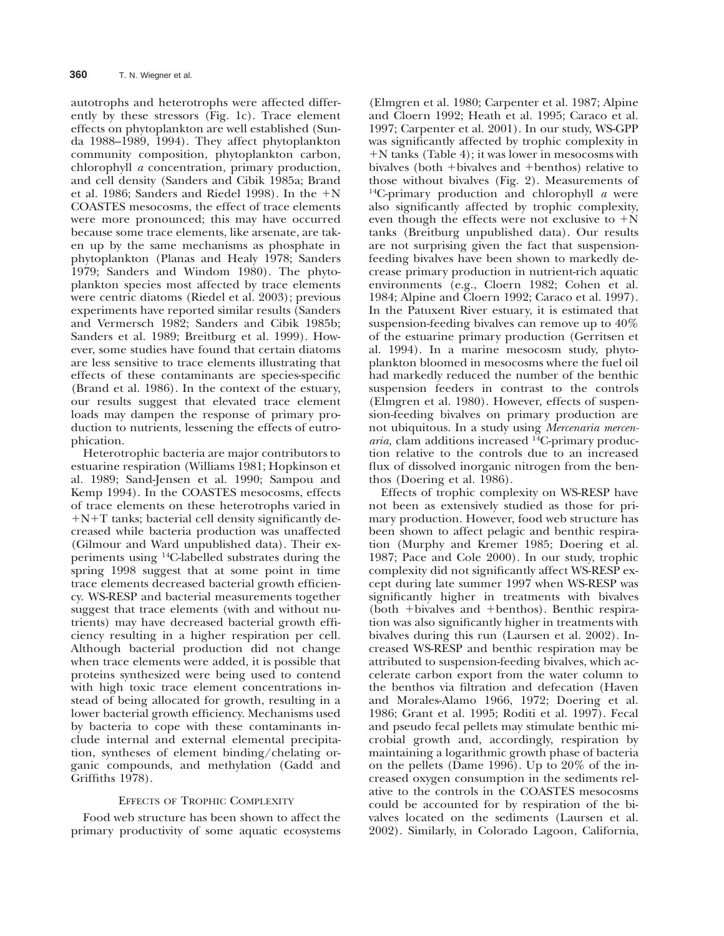autotrophs and heterotrophs were affected differently by these stressors (Fig. 1c). Trace element effects on phytoplankton are well established (Sunda 1988–1989, 1994). They affect phytoplankton community composition, phytoplankton carbon, chlorophyll *a* concentration, primary production, and cell density (Sanders and Cibik 1985a; Brand et al. 1986; Sanders and Riedel 1998). In the  $+N$ COASTES mesocosms, the effect of trace elements were more pronounced; this may have occurred because some trace elements, like arsenate, are taken up by the same mechanisms as phosphate in phytoplankton (Planas and Healy 1978; Sanders 1979; Sanders and Windom 1980). The phytoplankton species most affected by trace elements were centric diatoms (Riedel et al. 2003); previous experiments have reported similar results (Sanders and Vermersch 1982; Sanders and Cibik 1985b; Sanders et al. 1989; Breitburg et al. 1999). However, some studies have found that certain diatoms are less sensitive to trace elements illustrating that effects of these contaminants are species-specific (Brand et al. 1986). In the context of the estuary, our results suggest that elevated trace element loads may dampen the response of primary production to nutrients, lessening the effects of eutrophication.

Heterotrophic bacteria are major contributors to estuarine respiration (Williams 1981; Hopkinson et al. 1989; Sand-Jensen et al. 1990; Sampou and Kemp 1994). In the COASTES mesocosms, effects of trace elements on these heterotrophs varied in  $+N+T$  tanks; bacterial cell density significantly decreased while bacteria production was unaffected (Gilmour and Ward unpublished data). Their experiments using 14C-labelled substrates during the spring 1998 suggest that at some point in time trace elements decreased bacterial growth efficiency. WS-RESP and bacterial measurements together suggest that trace elements (with and without nutrients) may have decreased bacterial growth efficiency resulting in a higher respiration per cell. Although bacterial production did not change when trace elements were added, it is possible that proteins synthesized were being used to contend with high toxic trace element concentrations instead of being allocated for growth, resulting in a lower bacterial growth efficiency. Mechanisms used by bacteria to cope with these contaminants include internal and external elemental precipitation, syntheses of element binding/chelating organic compounds, and methylation (Gadd and Griffiths 1978).

## EFFECTS OF TROPHIC COMPLEXITY

Food web structure has been shown to affect the primary productivity of some aquatic ecosystems

(Elmgren et al. 1980; Carpenter et al. 1987; Alpine and Cloern 1992; Heath et al. 1995; Caraco et al. 1997; Carpenter et al. 2001). In our study, WS-GPP was significantly affected by trophic complexity in  $+N$  tanks (Table 4); it was lower in mesocosms with bivalves (both  $+$ bivalves and  $+$ benthos) relative to those without bivalves (Fig. 2). Measurements of 14C-primary production and chlorophyll *a* were also significantly affected by trophic complexity, even though the effects were not exclusive to  $+N$ tanks (Breitburg unpublished data). Our results are not surprising given the fact that suspensionfeeding bivalves have been shown to markedly decrease primary production in nutrient-rich aquatic environments (e.g., Cloern 1982; Cohen et al. 1984; Alpine and Cloern 1992; Caraco et al. 1997). In the Patuxent River estuary, it is estimated that suspension-feeding bivalves can remove up to 40% of the estuarine primary production (Gerritsen et al. 1994). In a marine mesocosm study, phytoplankton bloomed in mesocosms where the fuel oil had markedly reduced the number of the benthic suspension feeders in contrast to the controls (Elmgren et al. 1980). However, effects of suspension-feeding bivalves on primary production are not ubiquitous. In a study using *Mercenaria mercenaria,* clam additions increased 14C-primary production relative to the controls due to an increased flux of dissolved inorganic nitrogen from the benthos (Doering et al. 1986).

Effects of trophic complexity on WS-RESP have not been as extensively studied as those for primary production. However, food web structure has been shown to affect pelagic and benthic respiration (Murphy and Kremer 1985; Doering et al. 1987; Pace and Cole 2000). In our study, trophic complexity did not significantly affect WS-RESP except during late summer 1997 when WS-RESP was significantly higher in treatments with bivalves (both +bivalves and +benthos). Benthic respiration was also significantly higher in treatments with bivalves during this run (Laursen et al. 2002). Increased WS-RESP and benthic respiration may be attributed to suspension-feeding bivalves, which accelerate carbon export from the water column to the benthos via filtration and defecation (Haven and Morales-Alamo 1966, 1972; Doering et al. 1986; Grant et al. 1995; Roditi et al. 1997). Fecal and pseudo fecal pellets may stimulate benthic microbial growth and, accordingly, respiration by maintaining a logarithmic growth phase of bacteria on the pellets (Dame 1996). Up to 20% of the increased oxygen consumption in the sediments relative to the controls in the COASTES mesocosms could be accounted for by respiration of the bivalves located on the sediments (Laursen et al. 2002). Similarly, in Colorado Lagoon, California,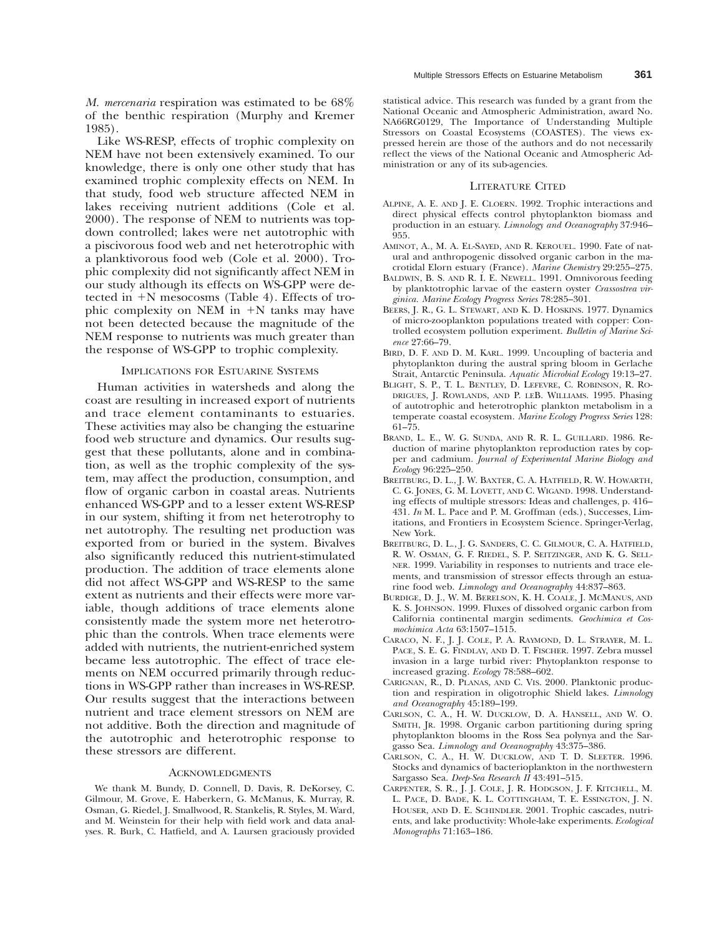*M. mercenaria* respiration was estimated to be 68% of the benthic respiration (Murphy and Kremer 1985).

Like WS-RESP, effects of trophic complexity on NEM have not been extensively examined. To our knowledge, there is only one other study that has examined trophic complexity effects on NEM. In that study, food web structure affected NEM in lakes receiving nutrient additions (Cole et al. 2000). The response of NEM to nutrients was topdown controlled; lakes were net autotrophic with a piscivorous food web and net heterotrophic with a planktivorous food web (Cole et al. 2000). Trophic complexity did not significantly affect NEM in our study although its effects on WS-GPP were detected in  $+N$  mesocosms (Table 4). Effects of trophic complexity on NEM in  $+N$  tanks may have not been detected because the magnitude of the NEM response to nutrients was much greater than the response of WS-GPP to trophic complexity.

## IMPLICATIONS FOR ESTUARINE SYSTEMS

Human activities in watersheds and along the coast are resulting in increased export of nutrients and trace element contaminants to estuaries. These activities may also be changing the estuarine food web structure and dynamics. Our results suggest that these pollutants, alone and in combination, as well as the trophic complexity of the system, may affect the production, consumption, and flow of organic carbon in coastal areas. Nutrients enhanced WS-GPP and to a lesser extent WS-RESP in our system, shifting it from net heterotrophy to net autotrophy. The resulting net production was exported from or buried in the system. Bivalves also significantly reduced this nutrient-stimulated production. The addition of trace elements alone did not affect WS-GPP and WS-RESP to the same extent as nutrients and their effects were more variable, though additions of trace elements alone consistently made the system more net heterotrophic than the controls. When trace elements were added with nutrients, the nutrient-enriched system became less autotrophic. The effect of trace elements on NEM occurred primarily through reductions in WS-GPP rather than increases in WS-RESP. Our results suggest that the interactions between nutrient and trace element stressors on NEM are not additive. Both the direction and magnitude of the autotrophic and heterotrophic response to these stressors are different.

#### **ACKNOWLEDGMENTS**

We thank M. Bundy, D. Connell, D. Davis, R. DeKorsey, C. Gilmour, M. Grove, E. Haberkern, G. McManus, K. Murray, R. Osman, G. Riedel, J. Smallwood, R. Stankelis, R. Styles, M. Ward, and M. Weinstein for their help with field work and data analyses. R. Burk, C. Hatfield, and A. Laursen graciously provided

statistical advice. This research was funded by a grant from the National Oceanic and Atmospheric Administration, award No. NA66RG0129, The Importance of Understanding Multiple Stressors on Coastal Ecosystems (COASTES). The views expressed herein are those of the authors and do not necessarily reflect the views of the National Oceanic and Atmospheric Administration or any of its sub-agencies.

#### LITERATURE CITED

- ALPINE, A. E. AND J. E. CLOERN. 1992. Trophic interactions and direct physical effects control phytoplankton biomass and production in an estuary. *Limnology and Oceanography* 37:946– 955.
- AMINOT, A., M. A. EL-SAYED, AND R. KEROUEL. 1990. Fate of natural and anthropogenic dissolved organic carbon in the macrotidal Elorn estuary (France). *Marine Chemistry* 29:255–275.
- BALDWIN, B. S. AND R. I. E. NEWELL. 1991. Omnivorous feeding by planktotrophic larvae of the eastern oyster *Crassostrea virginica. Marine Ecology Progress Series* 78:285–301.
- BEERS, J. R., G. L. STEWART, AND K. D. HOSKINS. 1977. Dynamics of micro-zooplankton populations treated with copper: Controlled ecosystem pollution experiment. *Bulletin of Marine Science* 27:66–79.
- BIRD, D. F. AND D. M. KARL. 1999. Uncoupling of bacteria and phytoplankton during the austral spring bloom in Gerlache Strait, Antarctic Peninsula. *Aquatic Microbial Ecology* 19:13–27.
- BLIGHT, S. P., T. L. BENTLEY, D. LEFEVRE, C. ROBINSON, R. RO-DRIGUES, J. ROWLANDS, AND P. LEB. WILLIAMS. 1995. Phasing of autotrophic and heterotrophic plankton metabolism in a temperate coastal ecosystem. *Marine Ecology Progress Series* 128: 61–75.
- BRAND, L. E., W. G. SUNDA, AND R. R. L. GUILLARD. 1986. Reduction of marine phytoplankton reproduction rates by copper and cadmium. *Journal of Experimental Marine Biology and Ecology* 96:225–250.
- BREITBURG, D. L., J. W. BAXTER, C. A. HATFIELD, R. W. HOWARTH, C. G. JONES, G. M. LOVETT, AND C. WIGAND. 1998. Understanding effects of multiple stressors: Ideas and challenges, p. 416– 431. *In* M. L. Pace and P. M. Groffman (eds.), Successes, Limitations, and Frontiers in Ecosystem Science. Springer-Verlag, New York.
- BREITBURG, D. L., J. G. SANDERS, C. C. GILMOUR, C. A. HATFIELD, R. W. OSMAN, G. F. RIEDEL, S. P. SEITZINGER, AND K. G. SELL-NER. 1999. Variability in responses to nutrients and trace elements, and transmission of stressor effects through an estuarine food web. *Limnology and Oceanography* 44:837–863.
- BURDIGE, D. J., W. M. BERELSON, K. H. COALE, J. MCMANUS, AND K. S. JOHNSON. 1999. Fluxes of dissolved organic carbon from California continental margin sediments. *Geochimica et Cosmochimica Acta* 63:1507–1515.
- CARACO, N. F., J. J. COLE, P. A. RAYMOND, D. L. STRAYER, M. L. PACE, S. E. G. FINDLAY, AND D. T. FISCHER. 1997. Zebra mussel invasion in a large turbid river: Phytoplankton response to increased grazing. *Ecology* 78:588–602.
- CARIGNAN, R., D. PLANAS, AND C. VIS. 2000. Planktonic production and respiration in oligotrophic Shield lakes. *Limnology and Oceanography* 45:189–199.
- CARLSON, C. A., H. W. DUCKLOW, D. A. HANSELL, AND W. O. SMITH, JR. 1998. Organic carbon partitioning during spring phytoplankton blooms in the Ross Sea polynya and the Sargasso Sea. *Limnology and Oceanography* 43:375–386.
- CARLSON, C. A., H. W. DUCKLOW, AND T. D. SLEETER. 1996. Stocks and dynamics of bacterioplankton in the northwestern Sargasso Sea. *Deep-Sea Research II* 43:491–515.
- CARPENTER, S. R., J. J. COLE, J. R. HODGSON, J. F. KITCHELL, M. L. PACE, D. BADE, K. L. COTTINGHAM, T. E. ESSINGTON, J. N. HOUSER, AND D. E. SCHINDLER. 2001. Trophic cascades, nutrients, and lake productivity: Whole-lake experiments. *Ecological Monographs* 71:163–186.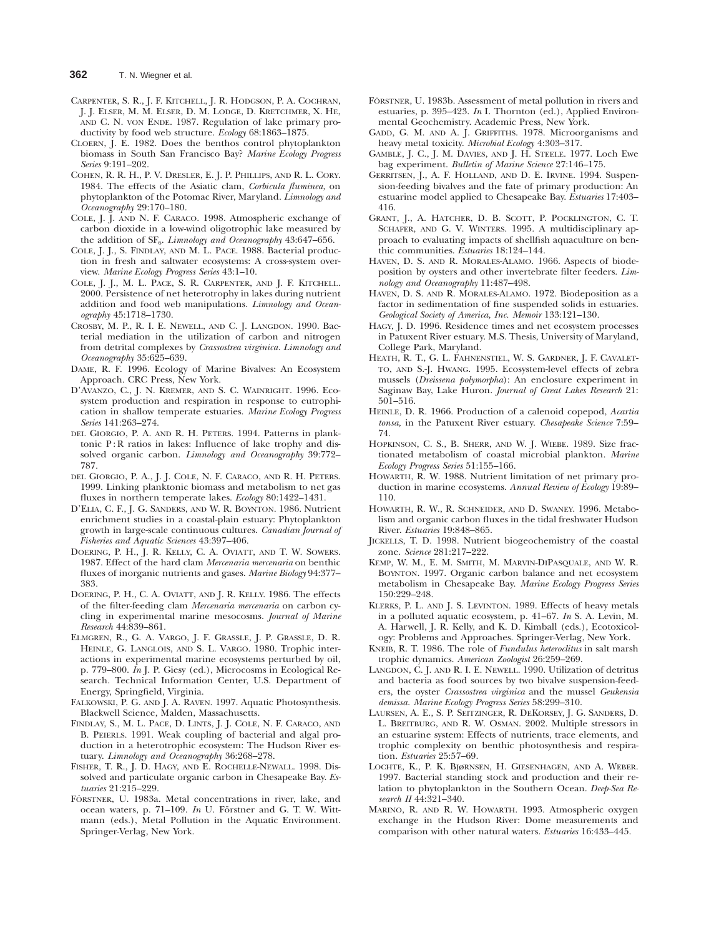- CARPENTER, S. R., J. F. KITCHELL, J. R. HODGSON, P. A. COCHRAN, J. J. ELSER, M. M. ELSER, D. M. LODGE, D. KRETCHMER, X. HE, AND C. N. VON ENDE. 1987. Regulation of lake primary productivity by food web structure. *Ecology* 68:1863–1875.
- CLOERN, J. E. 1982. Does the benthos control phytoplankton biomass in South San Francisco Bay? *Marine Ecology Progress Series* 9:191–202.
- COHEN, R. R. H., P. V. DRESLER, E. J. P. PHILLIPS, AND R. L. CORY. 1984. The effects of the Asiatic clam, *Corbicula fluminea,* on phytoplankton of the Potomac River, Maryland. *Limnology and Oceanography* 29:170–180.
- COLE, J. J. AND N. F. CARACO. 1998. Atmospheric exchange of carbon dioxide in a low-wind oligotrophic lake measured by the addition of SF<sub>6</sub>. *Limnology and Oceanography* 43:647-656.
- COLE, J. J., S. FINDLAY, AND M. L. PACE. 1988. Bacterial production in fresh and saltwater ecosystems: A cross-system overview. *Marine Ecology Progress Series* 43:1–10.
- COLE, J. J., M. L. PACE, S. R. CARPENTER, AND J. F. KITCHELL. 2000. Persistence of net heterotrophy in lakes during nutrient addition and food web manipulations. *Limnology and Oceanography* 45:1718–1730.
- CROSBY, M. P., R. I. E. NEWELL, AND C. J. LANGDON. 1990. Bacterial mediation in the utilization of carbon and nitrogen from detrital complexes by *Crassostrea virginica. Limnology and Oceanography* 35:625–639.
- DAME, R. F. 1996. Ecology of Marine Bivalves: An Ecosystem Approach. CRC Press, New York.
- D'AVANZO, C., J. N. KREMER, AND S. C. WAINRIGHT. 1996. Ecosystem production and respiration in response to eutrophication in shallow temperate estuaries. *Marine Ecology Progress Series* 141:263–274.
- DEL GIORGIO, P. A. AND R. H. PETERS. 1994. Patterns in planktonic P: R ratios in lakes: Influence of lake trophy and dissolved organic carbon. *Limnology and Oceanography* 39:772– 787.
- DEL GIORGIO, P. A., J. J. COLE, N. F. CARACO, AND R. H. PETERS. 1999. Linking planktonic biomass and metabolism to net gas fluxes in northern temperate lakes. *Ecology* 80:1422–1431.
- D'ELIA, C. F., J. G. SANDERS, AND W. R. BOYNTON. 1986. Nutrient enrichment studies in a coastal-plain estuary: Phytoplankton growth in large-scale continuous cultures. *Canadian Journal of Fisheries and Aquatic Sciences* 43:397–406.
- DOERING, P. H., J. R. KELLY, C. A. OVIATT, AND T. W. SOWERS. 1987. Effect of the hard clam *Mercenaria mercenaria* on benthic fluxes of inorganic nutrients and gases. *Marine Biology* 94:377– 383.
- DOERING, P. H., C. A. OVIATT, AND J. R. KELLY. 1986. The effects of the filter-feeding clam *Mercenaria mercenaria* on carbon cycling in experimental marine mesocosms. *Journal of Marine Research* 44:839–861.
- ELMGREN, R., G. A. VARGO, J. F. GRASSLE, J. P. GRASSLE, D. R. HEINLE, G. LANGLOIS, AND S. L. VARGO. 1980. Trophic interactions in experimental marine ecosystems perturbed by oil, p. 779–800. *In* J. P. Giesy (ed.), Microcosms in Ecological Research. Technical Information Center, U.S. Department of Energy, Springfield, Virginia.
- FALKOWSKI, P. G. AND J. A. RAVEN. 1997. Aquatic Photosynthesis. Blackwell Science, Malden, Massachusetts.
- FINDLAY, S., M. L. PACE, D. LINTS, J. J. COLE, N. F. CARACO, AND B. PEIERLS. 1991. Weak coupling of bacterial and algal production in a heterotrophic ecosystem: The Hudson River estuary. *Limnology and Oceanography* 36:268–278.
- FISHER, T. R., J. D. HAGY, AND E. ROCHELLE-NEWALL. 1998. Dissolved and particulate organic carbon in Chesapeake Bay. *Estuaries* 21:215–229.
- FÖRSTNER, U. 1983a. Metal concentrations in river, lake, and ocean waters, p. 71–109. *In* U. Förstner and G. T. W. Wittmann (eds.), Metal Pollution in the Aquatic Environment. Springer-Verlag, New York.
- FÖRSTNER, U. 1983b. Assessment of metal pollution in rivers and estuaries, p. 395–423. *In* I. Thornton (ed.), Applied Environmental Geochemistry. Academic Press, New York.
- GADD, G. M. AND A. J. GRIFFITHS. 1978. Microorganisms and heavy metal toxicity. *Microbial Ecology* 4:303–317.
- GAMBLE, J. C., J. M. DAVIES, AND J. H. STEELE. 1977. Loch Ewe bag experiment. *Bulletin of Marine Science* 27:146–175.
- GERRITSEN, J., A. F. HOLLAND, AND D. E. IRVINE. 1994. Suspension-feeding bivalves and the fate of primary production: An estuarine model applied to Chesapeake Bay. *Estuaries* 17:403– 416.
- GRANT, J., A. HATCHER, D. B. SCOTT, P. POCKLINGTON, C. T. SCHAFER, AND G. V. WINTERS. 1995. A multidisciplinary approach to evaluating impacts of shellfish aquaculture on benthic communities. *Estuaries* 18:124–144.
- HAVEN, D. S. AND R. MORALES-ALAMO. 1966. Aspects of biodeposition by oysters and other invertebrate filter feeders. *Limnology and Oceanography* 11:487–498.
- HAVEN, D. S. AND R. MORALES-ALAMO. 1972. Biodeposition as a factor in sedimentation of fine suspended solids in estuaries. *Geological Society of America, Inc. Memoir* 133:121–130.
- HAGY, J. D. 1996. Residence times and net ecosystem processes in Patuxent River estuary. M.S. Thesis, University of Maryland, College Park, Maryland.
- HEATH, R. T., G. L. FAHNENSTIEL, W. S. GARDNER, J. F. CAVALET-TO, AND S.-J. HWANG. 1995. Ecosystem-level effects of zebra mussels (*Dreissena polymorpha*): An enclosure experiment in Saginaw Bay, Lake Huron. *Journal of Great Lakes Research* 21: 501–516.
- HEINLE, D. R. 1966. Production of a calenoid copepod, *Acartia tonsa,* in the Patuxent River estuary. *Chesapeake Science* 7:59– 74.
- HOPKINSON, C. S., B. SHERR, AND W. J. WIEBE. 1989. Size fractionated metabolism of coastal microbial plankton. *Marine Ecology Progress Series* 51:155–166.
- HOWARTH, R. W. 1988. Nutrient limitation of net primary production in marine ecosystems. *Annual Review of Ecology* 19:89– 110.
- HOWARTH, R. W., R. SCHNEIDER, AND D. SWANEY. 1996. Metabolism and organic carbon fluxes in the tidal freshwater Hudson River. *Estuaries* 19:848–865.
- JICKELLS, T. D. 1998. Nutrient biogeochemistry of the coastal zone. *Science* 281:217–222.
- KEMP, W. M., E. M. SMITH, M. MARVIN-DIPASQUALE, AND W. R. BOYNTON. 1997. Organic carbon balance and net ecosystem metabolism in Chesapeake Bay. *Marine Ecology Progress Series* 150:229–248.
- KLERKS, P. L. AND J. S. LEVINTON. 1989. Effects of heavy metals in a polluted aquatic ecosystem, p. 41–67. *In* S. A. Levin, M. A. Harwell, J. R. Kelly, and K. D. Kimball (eds.), Ecotoxicology: Problems and Approaches. Springer-Verlag, New York.
- KNEIB, R. T. 1986. The role of *Fundulus heteroclitus* in salt marsh trophic dynamics. *American Zoologist* 26:259–269.
- LANGDON, C. J. AND R. I. E. NEWELL. 1990. Utilization of detritus and bacteria as food sources by two bivalve suspension-feeders, the oyster *Crassostrea virginica* and the mussel *Geukensia demissa. Marine Ecology Progress Series* 58:299–310.
- LAURSEN, A. E., S. P. SEITZINGER, R. DEKORSEY, J. G. SANDERS, D. L. BREITBURG, AND R. W. OSMAN. 2002. Multiple stressors in an estuarine system: Effects of nutrients, trace elements, and trophic complexity on benthic photosynthesis and respiration. *Estuaries* 25:57–69.
- LOCHTE, K., P. K. BJøRNSEN, H. GIESENHAGEN, AND A. WEBER. 1997. Bacterial standing stock and production and their relation to phytoplankton in the Southern Ocean. *Deep-Sea Research II* 44:321–340.
- MARINO, R. AND R. W. HOWARTH. 1993. Atmospheric oxygen exchange in the Hudson River: Dome measurements and comparison with other natural waters. *Estuaries* 16:433–445.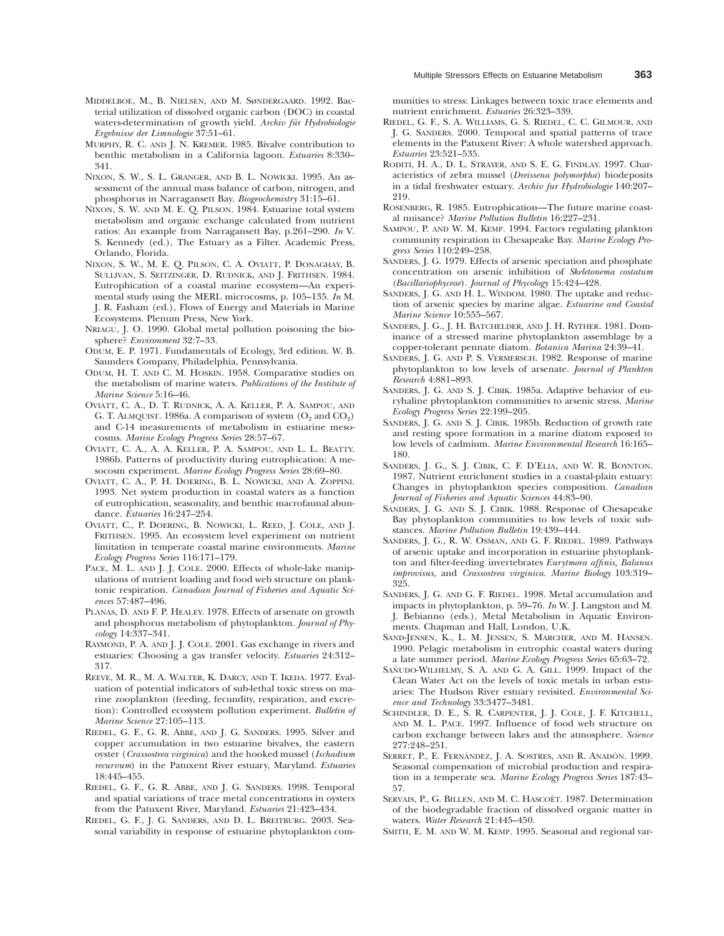- MIDDELBOE, M., B. NIELSEN, AND M. SøNDERGAARD. 1992. Bacterial utilization of dissolved organic carbon (DOC) in coastal waters-determination of growth yield. *Archiv fu¨r Hydrobiologie Ergebnisse der Limnologie* 37:51–61.
- MURPHY, R. C. AND J. N. KREMER. 1985. Bivalve contribution to benthic metabolism in a California lagoon. *Estuaries* 8:330– 341.
- NIXON, S. W., S. L. GRANGER, AND B. L. NOWICKI. 1995. An assessment of the annual mass balance of carbon, nitrogen, and phosphorus in Narragansett Bay. *Biogeochemistry* 31:15–61.
- NIXON, S. W. AND M. E. Q. PILSON. 1984. Estuarine total system metabolism and organic exchange calculated from nutrient ratios: An example from Narragansett Bay, p.261–290. *In* V. S. Kennedy (ed.), The Estuary as a Filter. Academic Press, Orlando, Florida.
- NIXON, S. W., M. E. Q. PILSON, C. A. OVIATT, P. DONAGHAY, B. SULLIVAN, S. SEITZINGER, D. RUDNICK, AND J. FRITHSEN. 1984. Eutrophication of a coastal marine ecosystem—An experimental study using the MERL microcosms, p. 105–135. *In* M. J. R. Fasham (ed.), Flows of Energy and Materials in Marine Ecosystems. Plenum Press, New York.
- NRIAGU, J. O. 1990. Global metal pollution poisoning the biosphere? *Environment* 32:7–33.
- ODUM, E. P. 1971. Fundamentals of Ecology, 3rd edition. W. B. Saunders Company, Philadelphia, Pennsylvania.
- ODUM, H. T. AND C. M. HOSKIN. 1958. Comparative studies on the metabolism of marine waters. *Publications of the Institute of Marine Science* 5:16–46.
- OVIATT, C. A., D. T. RUDNICK, A. A. KELLER, P. A. SAMPOU, AND G. T. ALMQUIST. 1986a. A comparison of system  $(O_2 \text{ and } CO_2)$ and C-14 measurements of metabolism in estuarine mesocosms. *Marine Ecology Progress Series* 28:57–67.
- OVIATT, C. A., A. A. KELLER, P. A. SAMPOU, AND L. L. BEATTY. 1986b. Patterns of productivity during eutrophication: A mesocosm experiment. *Marine Ecology Progress Series* 28:69–80.
- OVIATT, C. A., P. H. DOERING, B. L. NOWICKI, AND A. ZOPPINI. 1993. Net system production in coastal waters as a function of eutrophication, seasonality, and benthic macrofaunal abundance. *Estuaries* 16:247–254.
- OVIATT, C., P. DOERING, B. NOWICKI, L. REED, J. COLE, AND J. FRITHSEN. 1995. An ecosystem level experiment on nutrient limitation in temperate coastal marine environments. *Marine Ecology Progress Series* 116:171–179.
- PACE, M. L. AND J. J. COLE. 2000. Effects of whole-lake manipulations of nutrient loading and food web structure on planktonic respiration. *Canadian Journal of Fisheries and Aquatic Sciences* 57:487–496.
- PLANAS, D. AND F. P. HEALEY. 1978. Effects of arsenate on growth and phosphorus metabolism of phytoplankton. *Journal of Phycology* 14:337–341.
- RAYMOND, P. A. AND J. J. COLE. 2001. Gas exchange in rivers and estuaries: Choosing a gas transfer velocity. *Estuaries* 24:312– 317.
- REEVE, M. R., M. A. WALTER, K. DARCY, AND T. IKEDA. 1977. Evaluation of potential indicators of sub-lethal toxic stress on marine zooplankton (feeding, fecundity, respiration, and excretion): Controlled ecosystem pollution experiment. *Bulletin of Marine Science* 27:105–113.
- RIEDEL, G. F., G. R. ABBE, AND J. G. SANDERS. 1995. Silver and copper accumulation in two estuarine bivalves, the eastern oyster (*Crassostrea virginica*) and the hooked mussel (*Ischadium recurvum*) in the Patuxent River estuary, Maryland. *Estuaries* 18:445–455.
- RIEDEL, G. F., G. R. ABBE, AND J. G. SANDERS. 1998. Temporal and spatial variations of trace metal concentrations in oysters from the Patuxent River, Maryland. *Estuaries* 21:423–434.
- RIEDEL, G. F., J. G. SANDERS, AND D. L. BREITBURG. 2003. Seasonal variability in response of estuarine phytoplankton com-

munities to stress: Linkages between toxic trace elements and nutrient enrichment. *Estuaries* 26:323–339.

- RIEDEL, G. F., S. A. WILLIAMS, G. S. RIEDEL, C. C. GILMOUR, AND J. G. SANDERS. 2000. Temporal and spatial patterns of trace elements in the Patuxent River: A whole watershed approach. *Estuaries* 23:521–535.
- RODITI, H. A., D. L. STRAYER, AND S. E. G. FINDLAY. 1997. Characteristics of zebra mussel (*Dreissena polymorpha*) biodeposits in a tidal freshwater estuary. *Archiv fur Hydrobiologie* 140:207– 219.
- ROSENBERG, R. 1985. Eutrophication—The future marine coastal nuisance? *Marine Pollution Bulletin* 16:227–231.
- SAMPOU, P. AND W. M. KEMP. 1994. Factors regulating plankton community respiration in Chesapeake Bay. *Marine Ecology Progress Series* 110:249–258.
- SANDERS, J. G. 1979. Effects of arsenic speciation and phosphate concentration on arsenic inhibition of *Skeletonema costatum (Bacillariophyceae*). *Journal of Phycology* 15:424–428.
- SANDERS, J. G. AND H. L. WINDOM. 1980. The uptake and reduction of arsenic species by marine algae. *Estuarine and Coastal Marine Science* 10:555–567.
- SANDERS, J. G., J. H. BATCHELDER, AND J. H. RYTHER. 1981. Dominance of a stressed marine phytoplankton assemblage by a copper-tolerant pennate diatom. *Botanica Marina* 24:39–41.
- SANDERS, J. G. AND P. S. VERMERSCH. 1982. Response of marine phytoplankton to low levels of arsenate. *Journal of Plankton Research* 4:881–893.
- SANDERS, J. G. AND S. J. CIBIK. 1985a. Adaptive behavior of euryhaline phytoplankton communities to arsenic stress. *Marine Ecology Progress Series* 22:199–205.
- SANDERS, J. G. AND S. J. CIBIK. 1985b. Reduction of growth rate and resting spore formation in a marine diatom exposed to low levels of cadmium. *Marine Environmental Research* 16:165– 180.
- SANDERS, J. G., S. J. CIBIK, C. F. D'ELIA, AND W. R. BOYNTON. 1987. Nutrient enrichment studies in a coastal-plain estuary: Changes in phytoplankton species composition. *Canadian Journal of Fisheries and Aquatic Sciences* 44:83–90.
- SANDERS, J. G. AND S. J. CIBIK. 1988. Response of Chesapeake Bay phytoplankton communities to low levels of toxic substances. *Marine Pollution Bulletin* 19:439–444.
- SANDERS, J. G., R. W. OSMAN, AND G. F. RIEDEL. 1989. Pathways of arsenic uptake and incorporation in estuarine phytoplankton and filter-feeding invertebrates *Eurytmora affinis, Balanus improvisus,* and *Crassostrea virginica. Marine Biology* 103:319– 325.
- SANDERS, J. G. AND G. F. RIEDEL. 1998. Metal accumulation and impacts in phytoplankton, p. 59–76. *In* W. J. Langston and M. J. Bebianno (eds.), Metal Metabolism in Aquatic Environments. Chapman and Hall, London, U.K.
- SAND-JENSEN, K., L. M. JENSEN, S. MARCHER, AND M. HANSEN. 1990. Pelagic metabolism in eutrophic coastal waters during a late summer period. *Marine Ecology Progress Series* 65:63–72.
- SAÑUDO-WILHELMY, S. A. AND G. A. GILL. 1999. Impact of the Clean Water Act on the levels of toxic metals in urban estuaries: The Hudson River estuary revisited. *Environmental Science and Technology* 33:3477–3481.
- SCHINDLER, D. E., S. R. CARPENTER, J. J. COLE, J. F. KITCHELL, AND M. L. PACE. 1997. Influence of food web structure on carbon exchange between lakes and the atmosphere. *Science* 277:248–251.
- SERRET, P., E. FERNÁNDEZ, J. A. SOSTRES, AND R. ANADÓN. 1999. Seasonal compensation of microbial production and respiration in a temperate sea. *Marine Ecology Progress Series* 187:43– 57.
- SERVAIS, P., G. BILLEN, AND M. C. HASCOET. 1987. Determination of the biodegradable fraction of dissolved organic matter in waters. *Water Research* 21:445–450.
- SMITH, E. M. AND W. M. KEMP. 1995. Seasonal and regional var-